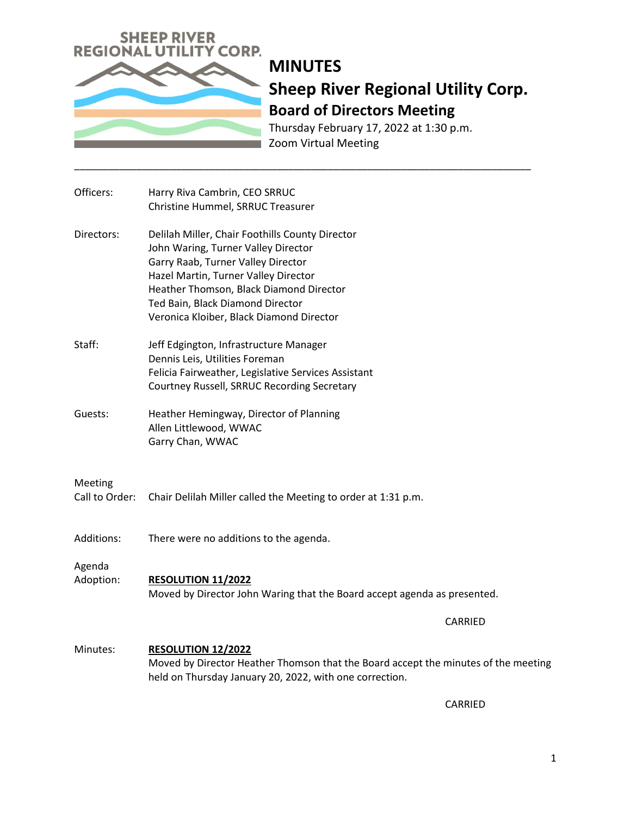

Thursday February 17, 2022 at 1:30 p.m. Zoom Virtual Meeting

| Officers:                 | Harry Riva Cambrin, CEO SRRUC<br>Christine Hummel, SRRUC Treasurer                                                                                                                                                                                                                              |
|---------------------------|-------------------------------------------------------------------------------------------------------------------------------------------------------------------------------------------------------------------------------------------------------------------------------------------------|
| Directors:                | Delilah Miller, Chair Foothills County Director<br>John Waring, Turner Valley Director<br>Garry Raab, Turner Valley Director<br>Hazel Martin, Turner Valley Director<br>Heather Thomson, Black Diamond Director<br>Ted Bain, Black Diamond Director<br>Veronica Kloiber, Black Diamond Director |
| Staff:                    | Jeff Edgington, Infrastructure Manager<br>Dennis Leis, Utilities Foreman<br>Felicia Fairweather, Legislative Services Assistant<br>Courtney Russell, SRRUC Recording Secretary                                                                                                                  |
| Guests:                   | Heather Hemingway, Director of Planning<br>Allen Littlewood, WWAC<br>Garry Chan, WWAC                                                                                                                                                                                                           |
| Meeting<br>Call to Order: | Chair Delilah Miller called the Meeting to order at 1:31 p.m.                                                                                                                                                                                                                                   |
| Additions:                | There were no additions to the agenda.                                                                                                                                                                                                                                                          |
| Agenda<br>Adoption:       | <b>RESOLUTION 11/2022</b><br>Moved by Director John Waring that the Board accept agenda as presented.                                                                                                                                                                                           |
|                           | CARRIED                                                                                                                                                                                                                                                                                         |
| Minutes:                  | <b>RESOLUTION 12/2022</b><br>Moved by Director Heather Thomson that the Board accept the minutes of the meeting<br>held on Thursday January 20, 2022, with one correction.                                                                                                                      |

\_\_\_\_\_\_\_\_\_\_\_\_\_\_\_\_\_\_\_\_\_\_\_\_\_\_\_\_\_\_\_\_\_\_\_\_\_\_\_\_\_\_\_\_\_\_\_\_\_\_\_\_\_\_\_\_\_\_\_\_\_\_\_\_\_\_\_\_\_\_\_\_\_\_\_\_\_\_\_\_\_

CARRIED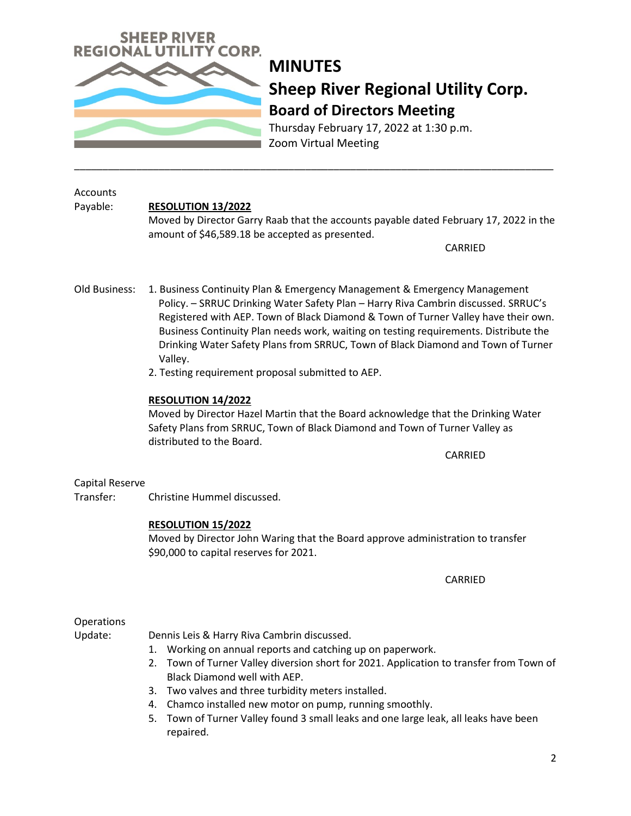

Thursday February 17, 2022 at 1:30 p.m. Zoom Virtual Meeting

#### Accounts Payable: **RESOLUTION 13/2022**

Moved by Director Garry Raab that the accounts payable dated February 17, 2022 in the amount of \$46,589.18 be accepted as presented.

CARRIED

Old Business: 1. Business Continuity Plan & Emergency Management & Emergency Management Policy. – SRRUC Drinking Water Safety Plan – Harry Riva Cambrin discussed. SRRUC's Registered with AEP. Town of Black Diamond & Town of Turner Valley have their own. Business Continuity Plan needs work, waiting on testing requirements. Distribute the Drinking Water Safety Plans from SRRUC, Town of Black Diamond and Town of Turner Valley.

\_\_\_\_\_\_\_\_\_\_\_\_\_\_\_\_\_\_\_\_\_\_\_\_\_\_\_\_\_\_\_\_\_\_\_\_\_\_\_\_\_\_\_\_\_\_\_\_\_\_\_\_\_\_\_\_\_\_\_\_\_\_\_\_\_\_\_\_\_\_\_\_\_\_\_\_\_\_\_\_\_\_\_\_\_

2. Testing requirement proposal submitted to AEP.

### **RESOLUTION 14/2022**

Moved by Director Hazel Martin that the Board acknowledge that the Drinking Water Safety Plans from SRRUC, Town of Black Diamond and Town of Turner Valley as distributed to the Board.

CARRIED

### Capital Reserve

Transfer: Christine Hummel discussed.

### **RESOLUTION 15/2022**

Moved by Director John Waring that the Board approve administration to transfer \$90,000 to capital reserves for 2021.

CARRIED

## **Operations**

Update: Dennis Leis & Harry Riva Cambrin discussed.

- 1. Working on annual reports and catching up on paperwork.
- 2. Town of Turner Valley diversion short for 2021. Application to transfer from Town of Black Diamond well with AEP.
- 3. Two valves and three turbidity meters installed.
- 4. Chamco installed new motor on pump, running smoothly.
- 5. Town of Turner Valley found 3 small leaks and one large leak, all leaks have been repaired.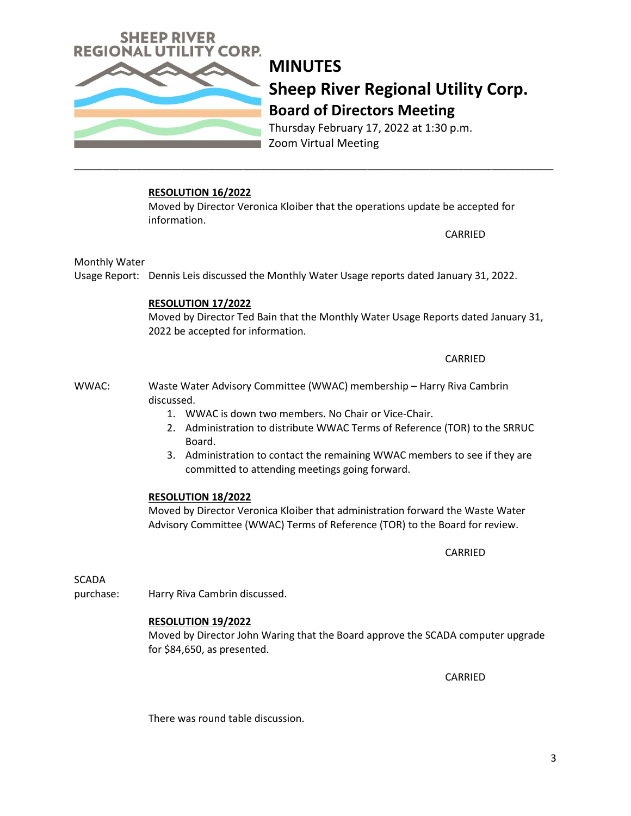

Thursday February 17, 2022 at 1:30 p.m. Zoom Virtual Meeting

### **RESOLUTION 16/2022**

Moved by Director Veronica Kloiber that the operations update be accepted for information.

\_\_\_\_\_\_\_\_\_\_\_\_\_\_\_\_\_\_\_\_\_\_\_\_\_\_\_\_\_\_\_\_\_\_\_\_\_\_\_\_\_\_\_\_\_\_\_\_\_\_\_\_\_\_\_\_\_\_\_\_\_\_\_\_\_\_\_\_\_\_\_\_\_\_\_\_\_\_\_\_\_\_\_\_\_

CARRIED

Monthly Water

Usage Report: Dennis Leis discussed the Monthly Water Usage reports dated January 31, 2022.

### **RESOLUTION 17/2022**

Moved by Director Ted Bain that the Monthly Water Usage Reports dated January 31, 2022 be accepted for information.

CARRIED

WWAC: Waste Water Advisory Committee (WWAC) membership – Harry Riva Cambrin discussed.

- 1. WWAC is down two members. No Chair or Vice-Chair.
- 2. Administration to distribute WWAC Terms of Reference (TOR) to the SRRUC Board.
- 3. Administration to contact the remaining WWAC members to see if they are committed to attending meetings going forward.

### **RESOLUTION 18/2022**

Moved by Director Veronica Kloiber that administration forward the Waste Water Advisory Committee (WWAC) Terms of Reference (TOR) to the Board for review.

CARRIED

**SCADA** 

purchase: Harry Riva Cambrin discussed.

### **RESOLUTION 19/2022**

Moved by Director John Waring that the Board approve the SCADA computer upgrade for \$84,650, as presented.

CARRIED

There was round table discussion.